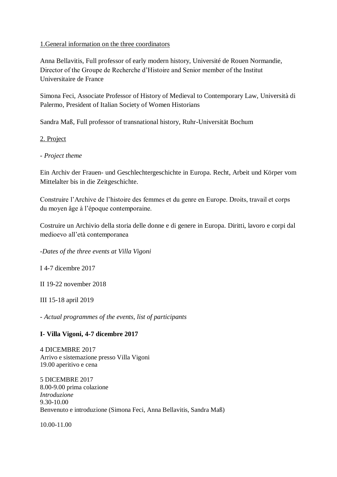### 1.General information on the three coordinators

Anna Bellavitis, Full professor of early modern history, Université de Rouen Normandie, Director of the Groupe de Recherche d'Histoire and Senior member of the Institut Universitaire de France

Simona Feci, Associate Professor of History of Medieval to Contemporary Law, Università di Palermo, President of Italian Society of Women Historians

Sandra Maß, Full professor of transnational history, Ruhr-Universität Bochum

## 2. Project

## - *Project theme*

Ein Archiv der Frauen- und Geschlechtergeschichte in Europa. Recht, Arbeit und Körper vom Mittelalter bis in die Zeitgeschichte.

Construire l'Archive de l'histoire des femmes et du genre en Europe. Droits, travail et corps du moyen âge à l'époque contemporaine.

Costruire un Archivio della storia delle donne e di genere in Europa. Diritti, lavoro e corpi dal medioevo all'età contemporanea

-*Dates of the three events at Villa Vigoni*

I 4-7 dicembre 2017

II 19-22 november 2018

III 15-18 april 2019

- *Actual programmes of the events, list of participants*

# **I- Villa Vigoni, 4-7 dicembre 2017**

4 DICEMBRE 2017 Arrivo e sistemazione presso Villa Vigoni 19.00 aperitivo e cena

5 DICEMBRE 2017 8.00-9.00 prima colazione *Introduzione*  9.30-10.00 Benvenuto e introduzione (Simona Feci, Anna Bellavitis, Sandra Maß)

10.00-11.00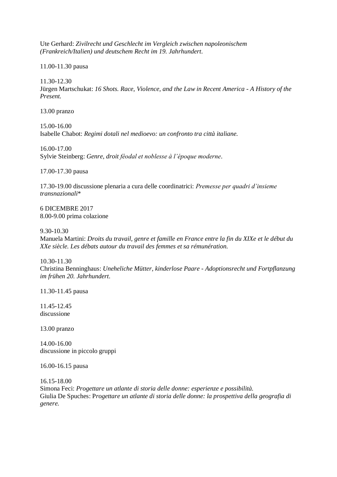Ute Gerhard: *Zivilrecht und Geschlecht im Vergleich zwischen napoleonischem (Frankreich/Italien) und deutschem Recht im 19. Jahrhundert*.

11.00-11.30 pausa

11.30-12.30

Jürgen Martschukat: *16 Shots. Race, Violence, and the Law in Recent America - A History of the Present.* 

13.00 pranzo

15.00-16.00 Isabelle Chabot: *Regimi dotali nel medioevo: un confronto tra città italiane.* 

16.00-17.00 Sylvie Steinberg: *Genre, droit féodal et noblesse à l'époque moderne*.

17.00-17.30 pausa

17.30-19.00 discussione plenaria a cura delle coordinatrici: *Premesse per quadri d'insieme transnazionali*\*

6 DICEMBRE 2017 8.00-9.00 prima colazione

9.30-10.30

Manuela Martini: *Droits du travail, genre et famille en France entre la fin du XIXe et le début du XXe siècle. Les débats autour du travail des femmes et sa rémunération.* 

10.30-11.30 Christina Benninghaus: *Uneheliche Mütter, kinderlose Paare - Adoptionsrecht und Fortpflanzung im frühen 20. Jahrhundert*.

11.30-11.45 pausa

11.45-12.45 discussione

13.00 pranzo

14.00-16.00 discussione in piccolo gruppi

16.00-16.15 pausa

16.15-18.00

Simona Feci: *Progettare un atlante di storia delle donne: esperienze e possibilità.*  Giulia De Spuches: P*rogettare un atlante di storia delle donne: la prospettiva della geografia di genere.*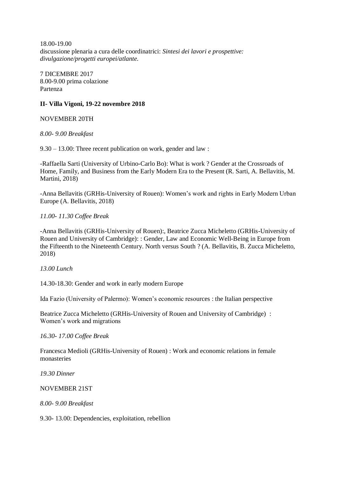18.00-19.00 discussione plenaria a cura delle coordinatrici: *Sintesi dei lavori e prospettive: divulgazione/progetti europei/atlante.* 

7 DICEMBRE 2017 8.00-9.00 prima colazione Partenza

### **II- Villa Vigoni, 19-22 novembre 2018**

NOVEMBER 20TH

*8.00- 9.00 Breakfast*

9.30 – 13.00: Three recent publication on work, gender and law :

-Raffaella Sarti (University of Urbino-Carlo Bo): What is work ? Gender at the Crossroads of Home, Family, and Business from the Early Modern Era to the Present (R. Sarti, A. Bellavitis, M. Martini, 2018)

-Anna Bellavitis (GRHis-University of Rouen): Women's work and rights in Early Modern Urban Europe (A. Bellavitis, 2018)

### *11.00- 11.30 Coffee Break*

-Anna Bellavitis (GRHis-University of Rouen):, Beatrice Zucca Micheletto (GRHis-University of Rouen and University of Cambridge): : Gender, Law and Economic Well-Being in Europe from the Fifteenth to the Nineteenth Century. North versus South ? (A. Bellavitis, B. Zucca Micheletto, 2018)

#### *13.00 Lunch*

14.30-18.30: Gender and work in early modern Europe

Ida Fazio (University of Palermo): Women's economic resources : the Italian perspective

Beatrice Zucca Micheletto (GRHis-University of Rouen and University of Cambridge) : Women's work and migrations

*16.30- 17.00 Coffee Break*

Francesca Medioli (GRHis-University of Rouen) : Work and economic relations in female monasteries

*19.30 Dinner*

NOVEMBER 21ST

*8.00- 9.00 Breakfast*

9.30- 13.00: Dependencies, exploitation, rebellion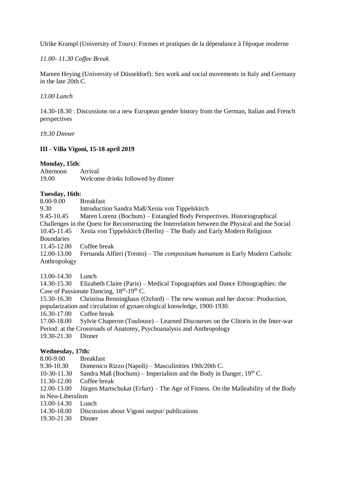Ulrike Krampl (University of Tours): Formes et pratiques de la dépendance à l'époque moderne

*11.00- 11.30 Coffee Break*

Mareen Heying (University of Düsseldorf): Sex work and social movements in Italy and Germany in the late 20th C.

*13.00 Lunch*

14.30-18.30 : Discussions on a new European gender history from the German, Italian and French perspectives

*19.30 Dinner*

## **III - Villa Vigoni, 15-18 april 2019**

#### **Monday, 15th**:

Afternoon Arrival 19.00 Welcome drinks followed by dinner

### **Tuesday, 16th:**

| 8.00-9.00         | <b>Breakfast</b>                                                                                 |
|-------------------|--------------------------------------------------------------------------------------------------|
| 9.30              | Introduction Sandra Maß/Xenia von Tippelskirch                                                   |
| 9.45-10.45        | Maren Lorenz (Bochum) – Entangled Body Perspectives. Historiographical                           |
|                   | Challenges in the Quest for Reconstructing the Interrelation between the Physical and the Social |
| 10.45-11.45       | Xenia von Tippelskirch (Berlin) – The Body and Early Modern Religious                            |
| <b>Boundaries</b> |                                                                                                  |
| 11.45-12.00       | Coffee break                                                                                     |
| 12.00-13.00       | Fernanda Alfieri (Trento) – The <i>compositum humanum</i> in Early Modern Catholic               |
| Anthropology      |                                                                                                  |
|                   |                                                                                                  |

13.00-14.30 Lunch

14.30-15.30 Elizabeth Claire (Paris) – Medical Topographies and Dance Ethnographies: the Case of Passionate Dancing,  $18<sup>th</sup>$ -19<sup>th</sup> C.

15.30-16.30 Christina Benninghaus (Oxford) – The new woman and her doctor: Production, popularization and circulation of gynaecological knowledge, 1900-1930.

16.30-17.00 Coffee break

17.00-18.00 Sylvie Chaperon (Toulouse) – Learned Discourses on the Clitoris in the Inter-war Period: at the Crossroads of Anatomy, Psychoanalysis and Anthropology

19.30-21.30 Dinner

#### **Wednesday, 17th:**

- 8.00-9.00 Breakfast
- 9.30-10.30 Domenico Rizzo (Napoli) Masculinities 19th/20th C.
- 10-30-11.30 Sandra Maß (Bochum) Imperialism and the Body in Danger,  $19<sup>th</sup>$  C.
- 11.30-12.00 Coffee break

12.00-13.00 Jürgen Martschukat (Erfurt) – The Age of Fitness. On the Malleability of the Body in Neo-Liberalism

- 13.00-14.30 Lunch
- 14.30-18.00 Discussion about Vigoni output/ publications
- 19.30-21.30 Dinner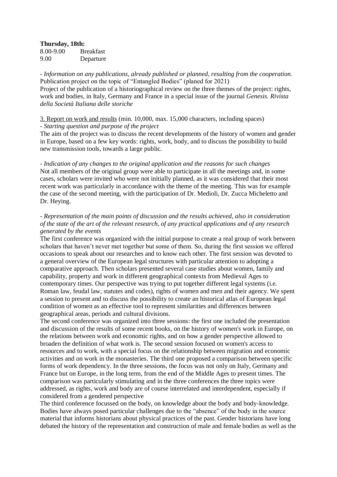**Thursday, 18th:**

8.00-9.00 Breakfast 9.00 Departure

- *Information on any publications, already published or planned, resulting from the cooperation*. Publication project on the topic of "Entangled Bodies" (planed for 2021) Project of the publication of a historiographical review on the three themes of the project: rights, work and bodies, in Italy, Germany and France in a special issue of the journal *Genesis. Rivista della Società Italiana delle storiche*

#### 3. Report on work and results (min. 10,000, max. 15,000 characters, including spaces) - *Starting question and purpose of the project*

The aim of the project was to discuss the recent developments of the history of women and gender in Europe, based on a few key words: rights, work, body, and to discuss the possibility to build new transmission tools, towards a large public.

*- Indication of any changes to the original application and the reasons for such changes* Not all members of the original group were able to participate in all the meetings and, in some cases, scholars were invited who were not initially planned, as it was considered that their most recent work was particularly in accordance with the theme of the meeting. This was for example the case of the second meeting, with the participation of Dr. Medioli, Dr. Zucca Micheletto and Dr. Heying.

#### - *Representation of the main points of discussion and the results achieved, also in consideration of the state of the art of the relevant research, of any practical applications and of any research generated by the events*

The first conference was organized with the initial purpose to create a real group of work between scholars that haven't never met together but some of them. So, during the first session we offered occasions to speak about our researches and to know each other. The first session was devoted to a general overview of the European legal structures with particular attention to adopting a comparative approach. Then scholars presented several case studies about women, family and capability, property and work in different geographical contexts from Medieval Ages to contemporary times. Our perspective was trying to put together different legal systems (i.e. Roman law, feudal law, statutes and codes), rights of women and men and their agency. We spent a session to present and to discuss the possibility to create an historical atlas of European legal condition of women as an effective tool to represent similarities and differences between geographical areas, periods and cultural divisions.

The second conference was organized into three sessions: the first one included the presentation and discussion of the results of some recent books, on the history of women's work in Europe, on the relations between work and economic rights, and on how a gender perspective allowed to broaden the definition of what work is. The second session focused on women's access to resources and to work, with a special focus on the relationship between migration and economic activities and on work in the monasteries. The third one proposed a comparison between specific forms of work dependency. In the three sessions, the focus was not only on Italy, Germany and France but on Europe, in the long term, from the end of the Middle Ages to present times. The comparison was particularly stimulating and in the three conferences the three topics were addressed, as rights, work and body are of course interrelated and interdependent, especially if considered from a gendered perspective

The third conference focussed on the body, on knowledge about the body and body-knowledge. Bodies have always posed particular challenges due to the "absence" of the body in the source material that informs historians about physical practices of the past. Gender historians have long debated the history of the representation and construction of male and female bodies as well as the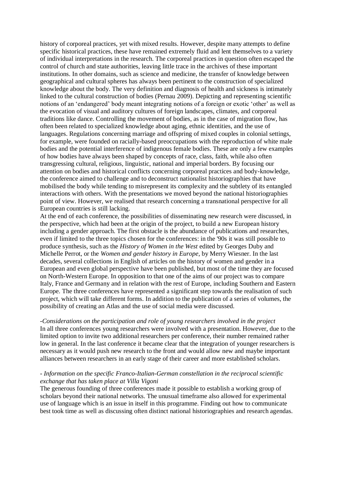history of corporeal practices, yet with mixed results. However, despite many attempts to define specific historical practices, these have remained extremely fluid and lent themselves to a variety of individual interpretations in the research. The corporeal practices in question often escaped the control of church and state authorities, leaving little trace in the archives of these important institutions. In other domains, such as science and medicine, the transfer of knowledge between geographical and cultural spheres has always been pertinent to the construction of specialized knowledge about the body. The very definition and diagnosis of health and sickness is intimately linked to the cultural construction of bodies (Pernau 2009). Depicting and representing scientific notions of an 'endangered' body meant integrating notions of a foreign or exotic 'other' as well as the evocation of visual and auditory cultures of foreign landscapes, climates, and corporeal traditions like dance. Controlling the movement of bodies, as in the case of migration flow, has often been related to specialized knowledge about aging, ethnic identities, and the use of languages. Regulations concerning marriage and offspring of mixed couples in colonial settings, for example, were founded on racially-based preoccupations with the reproduction of white male bodies and the potential interference of indigenous female bodies. These are only a few examples of how bodies have always been shaped by concepts of race, class, faith, while also often transgressing cultural, religious, linguistic, national and imperial borders. By focusing our attention on bodies and historical conflicts concerning corporeal practices and body-knowledge, the conference aimed to challenge and to deconstruct nationalist historiographies that have mobilised the body while tending to misrepresent its complexity and the subtlety of its entangled interactions with others. With the presentations we moved beyond the national historiographies point of view. However, we realised that research concerning a transnational perspective for all European countries is still lacking.

At the end of each conference, the possibilities of disseminating new research were discussed, in the perspective, which had been at the origin of the project, to build a new European history including a gender approach. The first obstacle is the abundance of publications and researches, even if limited to the three topics chosen for the conferences: in the '90s it was still possible to produce synthesis, such as the *History of Women in the West* edited by Georges Duby and Michelle Perrot, or the *Women and gender history in Europe*, by Merry Wiesner. In the last decades, several collections in English of articles on the history of women and gender in a European and even global perspective have been published, but most of the time they are focused on North-Western Europe. In opposition to that one of the aims of our project was to compare Italy, France and Germany and in relation with the rest of Europe, including Southern and Eastern Europe. The three conferences have represented a significant step towards the realisation of such project, which will take different forms. In addition to the publication of a series of volumes, the possibility of creating an Atlas and the use of social media were discussed.

#### *-Considerations on the participation and role of young researchers involved in the project*

In all three conferences young researchers were involved with a presentation. However, due to the limited option to invite two additional researchers per conference, their number remained rather low in general. In the last conference it became clear that the integration of younger researchers is necessary as it would push new research to the front and would allow new and maybe important alliances between researchers in an early stage of their career and more established scholars.

#### *- Information on the specific Franco-Italian-German constellation in the reciprocal scientific exchange that has taken place at Villa Vigoni*

The generous founding of three conferences made it possible to establish a working group of scholars beyond their national networks. The unusual timeframe also allowed for experimental use of language which is an issue in itself in this programme. Finding out how to communicate best took time as well as discussing often distinct national historiographies and research agendas.